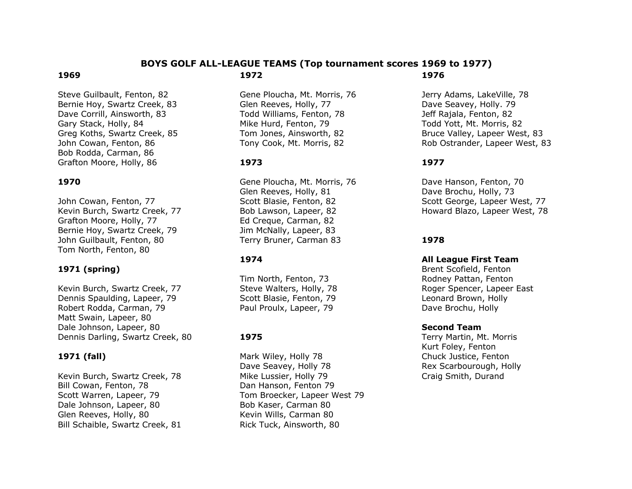#### **BOYS GOLF ALL-LEAGUE TEAMS (Top tournament scores 1969 to 1977) 1972 1976**

Steve Guilbault, Fenton, 82 Bernie Hoy, Swartz Creek, 83 Dave Corrill, Ainsworth, 83 Gary Stack, Holly, 84 Greg Koths, Swartz Creek, 85 John Cowan, Fenton, 86 Bob Rodda, Carman, 86 Grafton Moore, Holly, 86

# **1970**

**1969**

John Cowan, Fenton, 77 Kevin Burch, Swartz Creek, 77 Grafton Moore, Holly, 77 Bernie Hoy, Swartz Creek, 79 John Guilbault, Fenton, 80 Tom North, Fenton, 80

### **1971 (spring)**

Kevin Burch, Swartz Creek, 77 Dennis Spaulding, Lapeer, 79 Robert Rodda, Carman, 79 Matt Swain, Lapeer, 80 Dale Johnson, Lapeer, 80 Dennis Darling, Swartz Creek, 80

#### **1971 (fall)**

Kevin Burch, Swartz Creek, 78 Bill Cowan, Fenton, 78 Scott Warren, Lapeer, 79 Dale Johnson, Lapeer, 80 Glen Reeves, Holly, 80 Bill Schaible, Swartz Creek, 81

Gene Ploucha, Mt. Morris, 76 Glen Reeves, Holly, 77 Todd Williams, Fenton, 78 Mike Hurd, Fenton, 79 Tom Jones, Ainsworth, 82 Tony Cook, Mt. Morris, 82

# **1973**

Gene Ploucha, Mt. Morris, 76 Glen Reeves, Holly, 81 Scott Blasie, Fenton, 82 Bob Lawson, Lapeer, 82 Ed Creque, Carman, 82 Jim McNally, Lapeer, 83 Terry Bruner, Carman 83

#### **1974**

Tim North, Fenton, 73 Steve Walters, Holly, 78 Scott Blasie, Fenton, 79 Paul Proulx, Lapeer, 79

### **1975**

Mark Wiley, Holly 78 Dave Seavey, Holly 78 Mike Lussier, Holly 79 Dan Hanson, Fenton 79 Tom Broecker, Lapeer West 79 Bob Kaser, Carman 80 Kevin Wills, Carman 80 Rick Tuck, Ainsworth, 80

Jerry Adams, LakeVille, 78 Dave Seavey, Holly. 79 Jeff Rajala, Fenton, 82 Todd Yott, Mt. Morris, 82 Bruce Valley, Lapeer West, 83 Rob Ostrander, Lapeer West, 83

#### **1977**

Dave Hanson, Fenton, 70 Dave Brochu, Holly, 73 Scott George, Lapeer West, 77 Howard Blazo, Lapeer West, 78

### **1978**

#### **All League First Team**

Brent Scofield, Fenton Rodney Pattan, Fenton Roger Spencer, Lapeer East Leonard Brown, Holly Dave Brochu, Holly

#### **Second Team**

Terry Martin, Mt. Morris Kurt Foley, Fenton Chuck Justice, Fenton Rex Scarbourough, Holly Craig Smith, Durand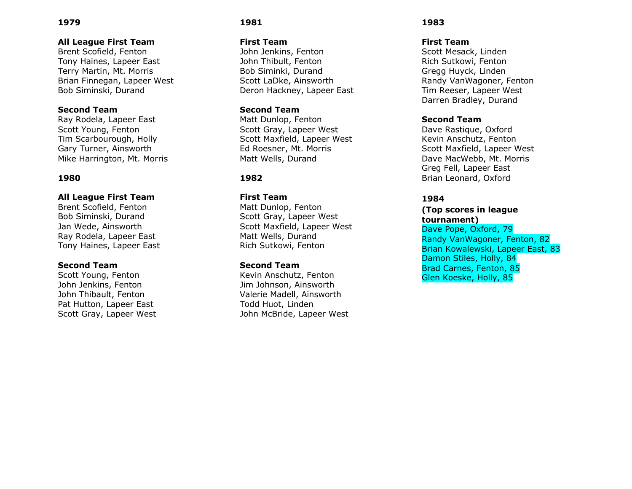### **All League First Team**

Brent Scofield, Fenton Tony Haines, Lapeer East Terry Martin, Mt. Morris Brian Finnegan, Lapeer West Bob Siminski, Durand

# **Second Team**

Ray Rodela, Lapeer East Scott Young, Fenton Tim Scarbourough, Holly Gary Turner, Ainsworth Mike Harrington, Mt. Morris

# **1980**

### **All League First Team**

Brent Scofield, Fenton Bob Siminski, Durand Jan Wede, Ainsworth Ray Rodela, Lapeer East Tony Haines, Lapeer East

### **Second Team**

Scott Young, Fenton John Jenkins, Fenton John Thibault, Fenton Pat Hutton, Lapeer East Scott Gray, Lapeer West

# **1981**

#### **First Team**

John Jenkins, Fenton John Thibult, Fenton Bob Siminki, Durand Scott LaDke, Ainsworth Deron Hackney, Lapeer East

# **Second Team**

Matt Dunlop, Fenton Scott Gray, Lapeer West Scott Maxfield, Lapeer West Ed Roesner, Mt. Morris Matt Wells, Durand

# **1982**

#### **First Team**

Matt Dunlop, Fenton Scott Gray, Lapeer West Scott Maxfield, Lapeer West Matt Wells, Durand Rich Sutkowi, Fenton

#### **Second Team**

Kevin Anschutz, Fenton Jim Johnson, Ainsworth Valerie Madell, Ainsworth Todd Huot, Linden John McBride, Lapeer West

#### **1983**

### **First Team**

Scott Mesack, Linden Rich Sutkowi, Fenton Gregg Huyck, Linden Randy VanWagoner, Fenton Tim Reeser, Lapeer West Darren Bradley, Durand

### **Second Team**

Dave Rastique, Oxford Kevin Anschutz, Fenton Scott Maxfield, Lapeer West Dave MacWebb, Mt. Morris Greg Fell, Lapeer East Brian Leonard, Oxford

# **1984**

#### **(Top scores in league tournament)**

Dave Pope, Oxford, 79 Randy VanWagoner, Fenton, 82 Brian Kowalewski, Lapeer East, 83 Damon Stiles, Holly, 84 Brad Carnes, Fenton, 85 Glen Koeske, Holly, 85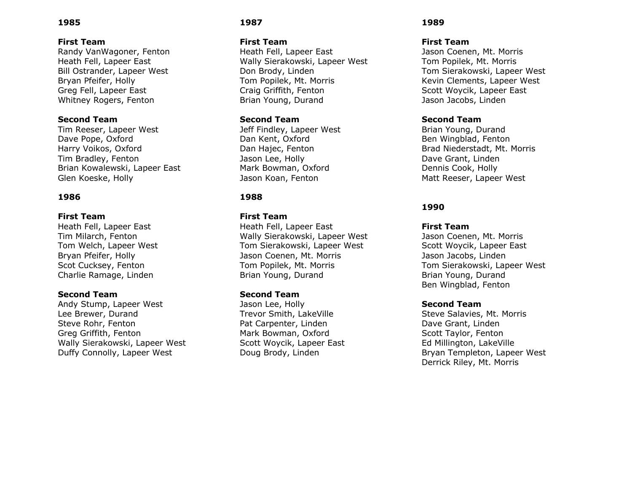#### **First Team**

Randy VanWagoner, Fenton Heath Fell, Lapeer East Bill Ostrander, Lapeer West Bryan Pfeifer, Holly Greg Fell, Lapeer East Whitney Rogers, Fenton

#### **Second Team**

Tim Reeser, Lapeer West Dave Pope, Oxford Harry Voikos, Oxford Tim Bradley, Fenton Brian Kowalewski, Lapeer East Glen Koeske, Holly

#### **1986**

#### **First Team**

Heath Fell, Lapeer East Tim Milarch, Fenton Tom Welch, Lapeer West Bryan Pfeifer, Holly Scot Cucksey, Fenton Charlie Ramage, Linden

#### **Second Team**

Andy Stump, Lapeer West Lee Brewer, Durand Steve Rohr, Fenton Greg Griffith, Fenton Wally Sierakowski, Lapeer West Duffy Connolly, Lapeer West

## **1987**

#### **First Team**

Heath Fell, Lapeer East Wally Sierakowski, Lapeer West Don Brody, Linden Tom Popilek, Mt. Morris Craig Griffith, Fenton Brian Young, Durand

### **Second Team**

Jeff Findley, Lapeer West Dan Kent, Oxford Dan Hajec, Fenton Jason Lee, Holly Mark Bowman, Oxford Jason Koan, Fenton

### **1988**

#### **First Team**

Heath Fell, Lapeer East Wally Sierakowski, Lapeer West Tom Sierakowski, Lapeer West Jason Coenen, Mt. Morris Tom Popilek, Mt. Morris Brian Young, Durand

#### **Second Team**

Jason Lee, Holly Trevor Smith, LakeVille Pat Carpenter, Linden Mark Bowman, Oxford Scott Woycik, Lapeer East Doug Brody, Linden

#### **1989**

#### **First Team**

Jason Coenen, Mt. Morris Tom Popilek, Mt. Morris Tom Sierakowski, Lapeer West Kevin Clements, Lapeer West Scott Woycik, Lapeer East Jason Jacobs, Linden

### **Second Team**

Brian Young, Durand Ben Wingblad, Fenton Brad Niederstadt, Mt. Morris Dave Grant, Linden Dennis Cook, Holly Matt Reeser, Lapeer West

### **1990**

#### **First Team**

Jason Coenen, Mt. Morris Scott Woycik, Lapeer East Jason Jacobs, Linden Tom Sierakowski, Lapeer West Brian Young, Durand Ben Wingblad, Fenton

### **Second Team**

Steve Salavies, Mt. Morris Dave Grant, Linden Scott Taylor, Fenton Ed Millington, LakeVille Bryan Templeton, Lapeer West Derrick Riley, Mt. Morris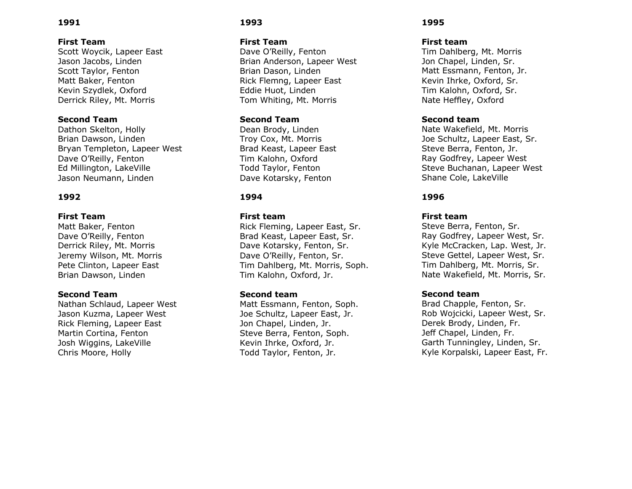#### **First Team**

Scott Woycik, Lapeer East Jason Jacobs, Linden Scott Taylor, Fenton Matt Baker, Fenton Kevin Szydlek, Oxford Derrick Riley, Mt. Morris

#### **Second Team**

Dathon Skelton, Holly Brian Dawson, Linden Bryan Templeton, Lapeer West Dave O'Reilly, Fenton Ed Millington, LakeVille Jason Neumann, Linden

#### **1992**

#### **First Team**

Matt Baker, Fenton Dave O'Reilly, Fenton Derrick Riley, Mt. Morris Jeremy Wilson, Mt. Morris Pete Clinton, Lapeer East Brian Dawson, Linden

#### **Second Team**

Nathan Schlaud, Lapeer West Jason Kuzma, Lapeer West Rick Fleming, Lapeer East Martin Cortina, Fenton Josh Wiggins, LakeVille Chris Moore, Holly

### **1993**

#### **First Team**

Dave O'Reilly, Fenton Brian Anderson, Lapeer West Brian Dason, Linden Rick Flemng, Lapeer East Eddie Huot, Linden Tom Whiting, Mt. Morris

### **Second Team**

Dean Brody, Linden Troy Cox, Mt. Morris Brad Keast, Lapeer East Tim Kalohn, Oxford Todd Taylor, Fenton Dave Kotarsky, Fenton

### **1994**

#### **First team**

Rick Fleming, Lapeer East, Sr. Brad Keast, Lapeer East, Sr. Dave Kotarsky, Fenton, Sr. Dave O'Reilly, Fenton, Sr. Tim Dahlberg, Mt. Morris, Soph. Tim Kalohn, Oxford, Jr.

#### **Second team**

Matt Essmann, Fenton, Soph. Joe Schultz, Lapeer East, Jr. Jon Chapel, Linden, Jr. Steve Berra, Fenton, Soph. Kevin Ihrke, Oxford, Jr. Todd Taylor, Fenton, Jr.

#### **1995**

#### **First team**

Tim Dahlberg, Mt. Morris Jon Chapel, Linden, Sr. Matt Essmann, Fenton, Jr. Kevin Ihrke, Oxford, Sr. Tim Kalohn, Oxford, Sr. Nate Heffley, Oxford

#### **Second team**

Nate Wakefield, Mt. Morris Joe Schultz, Lapeer East, Sr. Steve Berra, Fenton, Jr. Ray Godfrey, Lapeer West Steve Buchanan, Lapeer West Shane Cole, LakeVille

### **1996**

#### **First team**

Steve Berra, Fenton, Sr. Ray Godfrey, Lapeer West, Sr. Kyle McCracken, Lap. West, Jr. Steve Gettel, Lapeer West, Sr. Tim Dahlberg, Mt. Morris, Sr. Nate Wakefield, Mt. Morris, Sr.

#### **Second team**

Brad Chapple, Fenton, Sr. Rob Wojcicki, Lapeer West, Sr. Derek Brody, Linden, Fr. Jeff Chapel, Linden, Fr. Garth Tunningley, Linden, Sr. Kyle Korpalski, Lapeer East, Fr.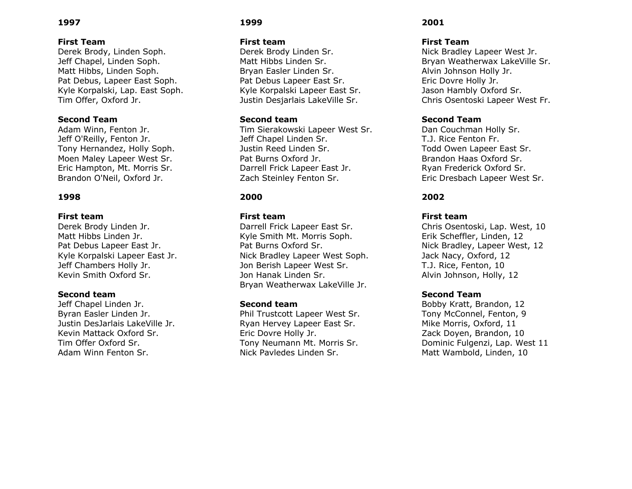### **First Team**

Derek Brody, Linden Soph. Jeff Chapel, Linden Soph. Matt Hibbs, Linden Soph. Pat Debus, Lapeer East Soph. Kyle Korpalski, Lap. East Soph. Tim Offer, Oxford Jr.

### **Second Team**

Adam Winn, Fenton Jr. Jeff O'Reilly, Fenton Jr. Tony Hernandez, Holly Soph. Moen Maley Lapeer West Sr. Eric Hampton, Mt. Morris Sr. Brandon O'Neil, Oxford Jr.

### **1998**

#### **First team**

Derek Brody Linden Jr. Matt Hibbs Linden Jr. Pat Debus Lapeer East Jr. Kyle Korpalski Lapeer East Jr. Jeff Chambers Holly Jr. Kevin Smith Oxford Sr.

#### **Second team**

Jeff Chapel Linden Jr. Byran Easler Linden Jr. Justin DesJarlais LakeVille Jr. Kevin Mattack Oxford Sr. Tim Offer Oxford Sr. Adam Winn Fenton Sr.

### **1999**

#### **First team**

Derek Brody Linden Sr. Matt Hibbs Linden Sr. Bryan Easler Linden Sr. Pat Debus Lapeer East Sr. Kyle Korpalski Lapeer East Sr. Justin Desjarlais LakeVille Sr.

#### **Second team**

Tim Sierakowski Lapeer West Sr. Jeff Chapel Linden Sr. Justin Reed Linden Sr. Pat Burns Oxford Jr. Darrell Frick Lapeer East Jr. Zach Steinley Fenton Sr.

# **2000**

#### **First team**

Darrell Frick Lapeer East Sr. Kyle Smith Mt. Morris Soph. Pat Burns Oxford Sr. Nick Bradley Lapeer West Soph. Jon Berish Lapeer West Sr. Jon Hanak Linden Sr. Bryan Weatherwax LakeVille Jr.

### **Second team**

Phil Trustcott Lapeer West Sr. Ryan Hervey Lapeer East Sr. Eric Dovre Holly Jr. Tony Neumann Mt. Morris Sr. Nick Pavledes Linden Sr.

# **2001**

### **First Team**

Nick Bradley Lapeer West Jr. Bryan Weatherwax LakeVille Sr. Alvin Johnson Holly Jr. Eric Dovre Holly Jr. Jason Hambly Oxford Sr. Chris Osentoski Lapeer West Fr.

### **Second Team**

Dan Couchman Holly Sr. T.J. Rice Fenton Fr. Todd Owen Lapeer East Sr. Brandon Haas Oxford Sr. Ryan Frederick Oxford Sr. Eric Dresbach Lapeer West Sr.

### **2002**

#### **First team**

Chris Osentoski, Lap. West, 10 Erik Scheffler, Linden, 12 Nick Bradley, Lapeer West, 12 Jack Nacy, Oxford, 12 T.J. Rice, Fenton, 10 Alvin Johnson, Holly, 12

#### **Second Team**

Bobby Kratt, Brandon, 12 Tony McConnel, Fenton, 9 Mike Morris, Oxford, 11 Zack Doyen, Brandon, 10 Dominic Fulgenzi, Lap. West 11 Matt Wambold, Linden, 10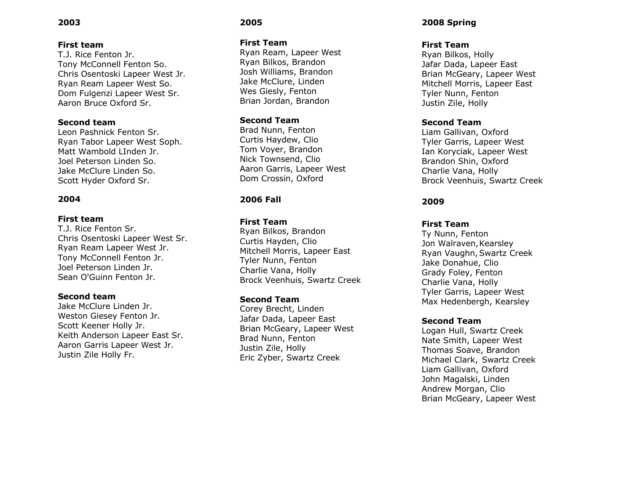#### **First team**

T.J. Rice Fenton Jr. Tony McConnell Fenton So. Chris Osentoski Lapeer West Jr. Ryan Ream Lapeer West So. Dom Fulgenzi Lapeer West Sr. Aaron Bruce Oxford Sr.

### **Second team**

Leon Pashnick Fenton Sr. Ryan Tabor Lapeer West Soph. Matt Wambold LInden Jr. Joel Peterson Linden So. Jake McClure Linden So. Scott Hyder Oxford Sr .

### **2004**

#### **First team**

T.J. Rice Fenton Sr. Chris Osentoski Lapeer West Sr. Ryan Ream Lapeer West Jr. Tony McConnell Fenton Jr. Joel Peterson Linden Jr. Sean O'Guinn Fenton Jr.

#### **Second team**

Jake McClure Linden Jr. Weston Giesey Fenton Jr. Scott Keener Holly Jr. Keith Anderson Lapeer East Sr. Aaron Garris Lapeer West Jr. Justin Zile Holly Fr.

# **2005**

#### **First Team**

Ryan Ream, Lapeer West Ryan Bilkos, Brandon Josh Williams, Brandon Jake McClure, Linden Wes Giesly, Fenton Brian Jordan, Brandon

### **Second Team**

Brad Nunn, Fenton Curtis Haydew, Clio Tom Voyer, Brandon Nick Townsend, Clio Aaron Garris, Lapeer West Dom Crossin, Oxford

# **2006 Fall**

### **First Team**

Ryan Bilkos, Brandon Curtis Hayden, Clio Mitchell Morris, Lapeer East Tyler Nunn, Fenton Charlie Vana, Holly Brock Veenhuis, Swartz Creek

#### **Second Team**

Corey Brecht, Linden Jafar Dada, Lapeer East Brian McGeary, Lapeer West Brad Nunn, Fenton Justin Zile, Holly Eric Zyber, Swartz Creek

# **2008 Spring**

### **First Team**

Ryan Bilkos, Holly Jafar Dada, Lapeer East Brian McGeary, Lapeer West Mitchell Morris, Lapeer East Tyler Nunn, Fenton Justin Zile, Holly

#### **Second Team**

Liam Gallivan, Oxford Tyler Garris, Lapeer West Ian Koryciak, Lapeer West Brandon Shin, Oxford Charlie Vana, Holly Brock Veenhuis, Swartz Creek

### **2009**

### **First Team**

Ty Nunn, Fenton Jon Walraven, Kearsley Ryan Vaughn,Swartz Creek Jake Donahue, Clio Grady Foley, Fenton Charlie Vana, Holly Tyler Garris, Lapeer West Max Hedenbergh, Kearsley

### **Second Team**

Logan Hull, Swartz Creek Nate Smith, Lapeer West Thomas Soave, Brandon Michael Clark, Swartz Creek Liam Gallivan, Oxford John Magalski, Linden Andrew Morgan, Clio Brian McGeary, Lapeer West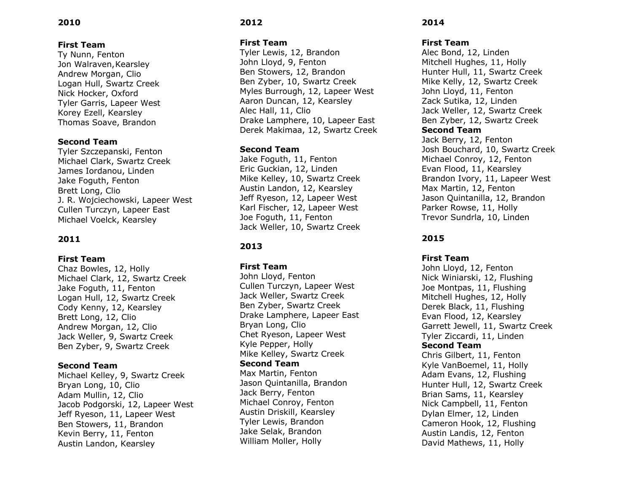# **First Team**

Ty Nunn, Fenton Jon Walraven, Kearsley Andrew Morgan, Clio Logan Hull, Swartz Creek Nick Hocker, Oxford Tyler Garris, Lapeer West Korey Ezell, Kearsley Thomas Soave, Brandon

# **Second Team**

Tyler Szczepanski, Fenton Michael Clark, Swartz Creek James Iordanou, Linden Jake Foguth, Fenton Brett Long, Clio J. R. Wojciechowski, Lapeer West Cullen Turczyn, Lapeer East Michael Voelck, Kearsley

# **2011**

### **First Team**

Chaz Bowles, 12, Holly Michael Clark, 12, Swartz Creek Jake Foguth, 11, Fenton Logan Hull, 12, Swartz Creek Cody Kenny, 12, Kearsley Brett Long, 12, Clio Andrew Morgan, 12, Clio Jack Weller, 9, Swartz Creek Ben Zyber, 9, Swartz Creek

### **Second Team**

Michael Kelley, 9, Swartz Creek Bryan Long, 10, Clio Adam Mullin, 12, Clio Jacob Podgorski, 12, Lapeer West Jeff Ryeson, 11, Lapeer West Ben Stowers, 11, Brandon Kevin Berry, 11, Fenton Austin Landon, Kearsley

# **2012**

#### **First Team**

Tyler Lewis, 12, Brandon John Lloyd, 9, Fenton Ben Stowers, 12, Brandon Ben Zyber, 10, Swartz Creek Myles Burrough, 12, Lapeer West Aaron Duncan, 12, Kearsley Alec Hall, 11, Clio Drake Lamphere, 10, Lapeer East Derek Makimaa, 12, Swartz Creek

### **Second Team**

Jake Foguth, 11, Fenton Eric Guckian, 12, Linden Mike Kelley, 10, Swartz Creek Austin Landon, 12, Kearsley Jeff Ryeson, 12, Lapeer West Karl Fischer, 12, Lapeer West Joe Foguth, 11, Fenton Jack Weller, 10, Swartz Creek

# **2013**

### **First Team**

John Lloyd, Fenton Cullen Turczyn, Lapeer West Jack Weller, Swartz Creek Ben Zyber, Swartz Creek Drake Lamphere, Lapeer East Bryan Long, Clio Chet Ryeson, Lapeer West Kyle Pepper, Holly Mike Kelley, Swartz Creek **Second Team** Max Martin, Fenton Jason Quintanilla, Brandon Jack Berry, Fenton Michael Conroy, Fenton Austin Driskill, Kearsley Tyler Lewis, Brandon Jake Selak, Brandon William Moller, Holly

### **2014**

### **First Team**

Alec Bond, 12, Linden Mitchell Hughes, 11, Holly Hunter Hull, 11, Swartz Creek Mike Kelly, 12, Swartz Creek John Lloyd, 11, Fenton Zack Sutika, 12, Linden Jack Weller, 12, Swartz Creek Ben Zyber, 12, Swartz Creek **Second Team** Jack Berry, 12, Fenton Josh Bouchard, 10, Swartz Creek Michael Conroy, 12, Fenton Evan Flood, 11, Kearsley Brandon Ivory, 11, Lapeer West Max Martin, 12, Fenton Jason Quintanilla, 12, Brandon Parker Rowse, 11, Holly Trevor Sundrla, 10, Linden

# **2015**

### **First Team**

John Lloyd, 12, Fenton Nick Winiarski, 12, Flushing Joe Montpas, 11, Flushing Mitchell Hughes, 12, Holly Derek Black, 11, Flushing Evan Flood, 12, Kearsley Garrett Jewell, 11, Swartz Creek Tyler Ziccardi, 11, Linden **Second Team** Chris Gilbert, 11, Fenton Kyle VanBoemel, 11, Holly Adam Evans, 12, Flushing Hunter Hull, 12, Swartz Creek Brian Sams, 11, Kearsley Nick Campbell, 11, Fenton Dylan Elmer, 12, Linden Cameron Hook, 12, Flushing Austin Landis, 12, Fenton David Mathews, 11, Holly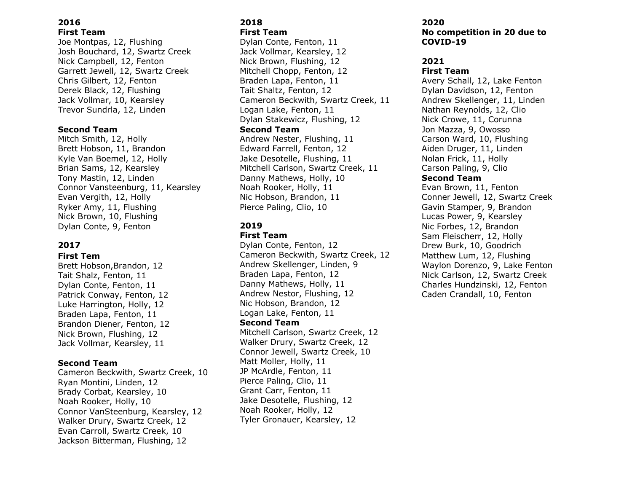#### **2016 First Team**

Joe Montpas, 12, Flushing Josh Bouchard, 12, Swartz Creek Nick Campbell, 12, Fenton Garrett Jewell, 12, Swartz Creek Chris Gilbert, 12, Fenton Derek Black, 12, Flushing Jack Vollmar, 10, Kearsley Trevor Sundrla, 12, Linden

# **Second Team**

Mitch Smith, 12, Holly Brett Hobson, 11, Brandon Kyle Van Boemel, 12, Holly Brian Sams, 12, Kearsley Tony Mastin, 12, Linden Connor Vansteenburg, 11, Kearsley Evan Vergith, 12, Holly Ryker Amy, 11, Flushing Nick Brown, 10, Flushing Dylan Conte, 9, Fenton

# **2017**

#### **First Tem**

Brett Hobson,Brandon, 12 Tait Shalz, Fenton, 11 Dylan Conte, Fenton, 11 Patrick Conway, Fenton, 12 Luke Harrington, Holly, 12 Braden Lapa, Fenton, 11 Brandon Diener, Fenton, 12 Nick Brown, Flushing, 12 Jack Vollmar, Kearsley, 11

### **Second Team**

Cameron Beckwith, Swartz Creek, 10 Ryan Montini, Linden, 12 Brady Corbat, Kearsley, 10 Noah Rooker, Holly, 10 Connor VanSteenburg, Kearsley, 12 Walker Drury, Swartz Creek, 12 Evan Carroll, Swartz Creek, 10 Jackson Bitterman, Flushing, 12

### **2018 First Team**

Dylan Conte, Fenton, 11 Jack Vollmar, Kearsley, 12 Nick Brown, Flushing, 12 Mitchell Chopp, Fenton, 12 Braden Lapa, Fenton, 11 Tait Shaltz, Fenton, 12 Cameron Beckwith, Swartz Creek, 11 Logan Lake, Fenton, 11 Dylan Stakewicz, Flushing, 12 **Second Team** Andrew Nester, Flushing, 11 Edward Farrell, Fenton, 12 Jake Desotelle, Flushing, 11 Mitchell Carlson, Swartz Creek, 11 Danny Mathews, Holly, 10 Noah Rooker, Holly, 11 Nic Hobson, Brandon, 11 Pierce Paling, Clio, 10

# **2019**

#### **First Team**

Dylan Conte, Fenton, 12 Cameron Beckwith, Swartz Creek, 12 Andrew Skellenger, Linden, 9 Braden Lapa, Fenton, 12 Danny Mathews, Holly, 11 Andrew Nestor, Flushing, 12 Nic Hobson, Brandon, 12 Logan Lake, Fenton, 11 **Second Team** Mitchell Carlson, Swartz Creek, 12 Walker Drury, Swartz Creek, 12 Connor Jewell, Swartz Creek, 10 Matt Moller, Holly, 11 JP McArdle, Fenton, 11 Pierce Paling, Clio, 11 Grant Carr, Fenton, 11 Jake Desotelle, Flushing, 12 Noah Rooker, Holly, 12 Tyler Gronauer, Kearsley, 12

#### **2020 No competition in 20 due to COVID-19**

# **2021**

#### **First Team**

Avery Schall, 12, Lake Fenton Dylan Davidson, 12, Fenton Andrew Skellenger, 11, Linden Nathan Reynolds, 12, Clio Nick Crowe, 11, Corunna Jon Mazza, 9, Owosso Carson Ward, 10, Flushing Aiden Druger, 11, Linden Nolan Frick, 11, Holly Carson Paling, 9, Clio **Second Team** Evan Brown, 11, Fenton Conner Jewell, 12, Swartz Creek Gavin Stamper, 9, Brandon Lucas Power, 9, Kearsley Nic Forbes, 12, Brandon Sam Fleischerr, 12, Holly Drew Burk, 10, Goodrich Matthew Lum, 12, Flushing Waylon Dorenzo, 9, Lake Fenton Nick Carlson, 12, Swartz Creek Charles Hundzinski, 12, Fenton Caden Crandall, 10, Fenton